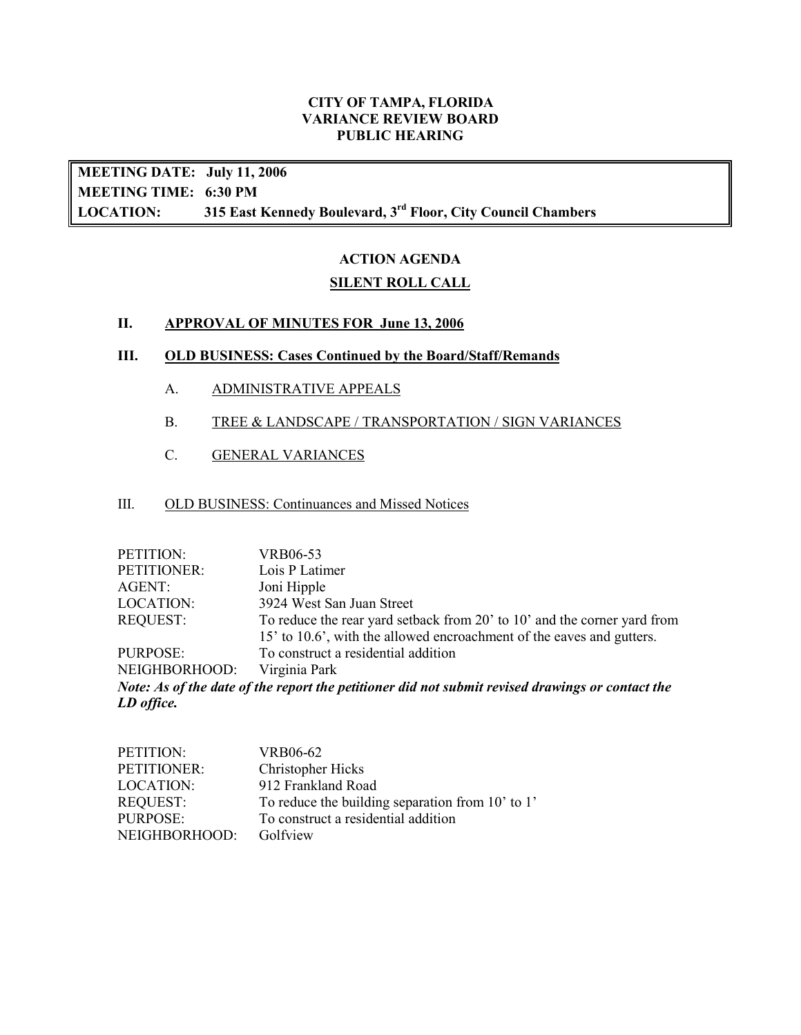### VARIANCE REVIEW BOARD CITY OF TAMPA, FLORIDA PUBLIC HEARING

 MEETING DATE: July 11, 2006 MEETING TIME: 6:30 PM **LOCATION:** 315 East Kennedy Boulevard,  $3<sup>rd</sup>$  Floor, City Council Chambers

# ACTION AGENDA

## SILENT ROLL CALL

#### **APPROVAL OF MINUTES FOR June 13, 2006** II.

#### OLD BUSINESS: Cases Continued by the Board/Staff/Remands III.

- A. ADMINISTRATIVE APPEALS
- B. TREE & LANDSCAPE / TRANSPORTATION / SIGN VARIANCES
- C. **GENERAL VARIANCES**

### III. OLD BUSINESS: Continuances and Missed Notices

| PETITION:        | VRB06-53                                                                                         |
|------------------|--------------------------------------------------------------------------------------------------|
| PETITIONER:      | Lois P Latimer                                                                                   |
| AGENT:           | Joni Hipple                                                                                      |
| <b>LOCATION:</b> | 3924 West San Juan Street                                                                        |
| <b>REQUEST:</b>  | To reduce the rear yard setback from 20' to 10' and the corner yard from                         |
|                  | 15' to 10.6', with the allowed encroachment of the eaves and gutters.                            |
| PURPOSE:         | To construct a residential addition                                                              |
| NEIGHBORHOOD:    | Virginia Park                                                                                    |
|                  | Note: As of the date of the report the petitioner did not submit revised drawings or contact the |
| LD office.       |                                                                                                  |

| PETITION:        | VRB06-62                                         |
|------------------|--------------------------------------------------|
| PETITIONER:      | <b>Christopher Hicks</b>                         |
| <b>LOCATION:</b> | 912 Frankland Road                               |
| <b>REQUEST:</b>  | To reduce the building separation from 10' to 1' |
| <b>PURPOSE:</b>  | To construct a residential addition              |
| NEIGHBORHOOD:    | Golfview                                         |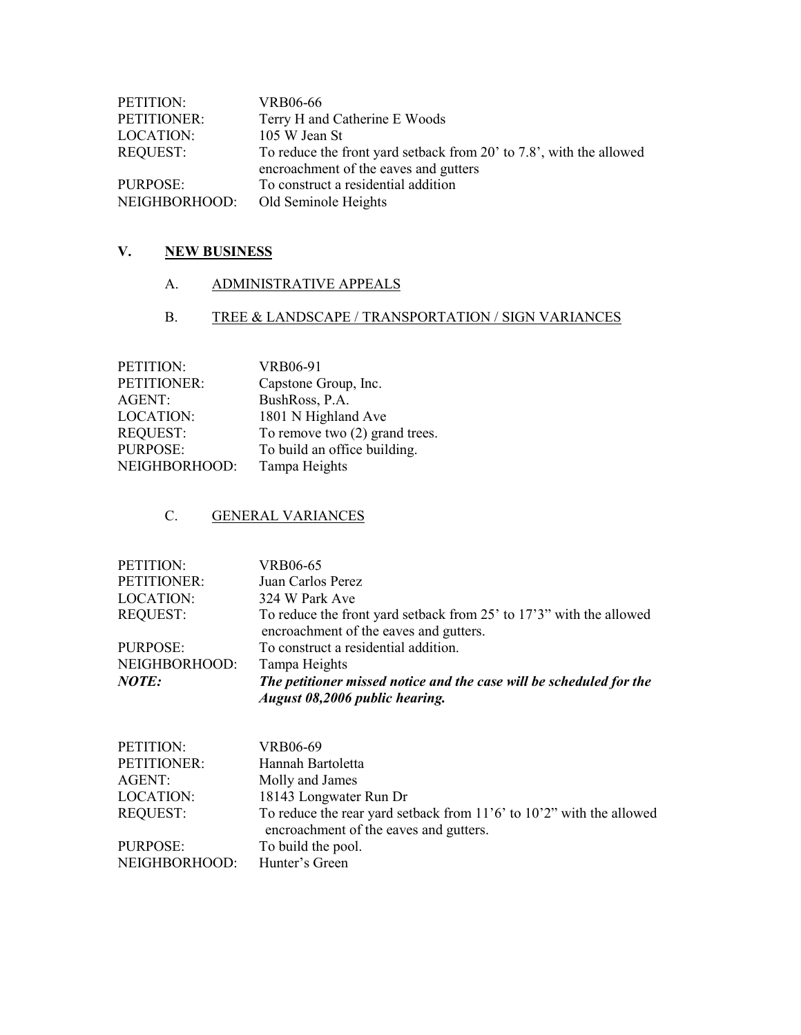| PETITION:       | VRB06-66                                                            |
|-----------------|---------------------------------------------------------------------|
| PETITIONER:     | Terry H and Catherine E Woods                                       |
| LOCATION:       | 105 W Jean St                                                       |
| <b>REQUEST:</b> | To reduce the front yard setback from 20' to 7.8', with the allowed |
|                 | encroachment of the eaves and gutters                               |
| PURPOSE:        | To construct a residential addition                                 |
| NEIGHBORHOOD:   | Old Seminole Heights                                                |

# V. NEW BUSINESS

## A. ADMINISTRATIVE APPEALS

### B. TREE & LANDSCAPE / TRANSPORTATION / SIGN VARIANCES

| PETITION:        | <b>VRB06-91</b>                  |
|------------------|----------------------------------|
| PETITIONER:      | Capstone Group, Inc.             |
| <b>AGENT:</b>    | BushRoss, P.A.                   |
| <b>LOCATION:</b> | 1801 N Highland Ave              |
| <b>REQUEST:</b>  | To remove two $(2)$ grand trees. |
| <b>PURPOSE:</b>  | To build an office building.     |
| NEIGHBORHOOD:    | Tampa Heights                    |

# C. **GENERAL VARIANCES**

| PETITION:        | <b>VRB06-65</b>                                                                                               |
|------------------|---------------------------------------------------------------------------------------------------------------|
| PETITIONER:      | Juan Carlos Perez                                                                                             |
| <b>LOCATION:</b> | 324 W Park Ave                                                                                                |
| <b>REQUEST:</b>  | To reduce the front yard setback from 25' to 17'3" with the allowed<br>encroachment of the eaves and gutters. |
| PURPOSE:         | To construct a residential addition.                                                                          |
| NEIGHBORHOOD:    | Tampa Heights                                                                                                 |
| <b>NOTE:</b>     | The petitioner missed notice and the case will be scheduled for the<br>August 08,2006 public hearing.         |

| PETITION:       | VRB06-69                                                                                                            |
|-----------------|---------------------------------------------------------------------------------------------------------------------|
| PETITIONER:     | Hannah Bartoletta                                                                                                   |
| AGENT:          | Molly and James                                                                                                     |
| LOCATION:       | 18143 Longwater Run Dr                                                                                              |
| <b>REQUEST:</b> | To reduce the rear yard setback from $11'6'$ to $10'2''$ with the allowed<br>encroachment of the eaves and gutters. |
| PURPOSE:        | To build the pool.                                                                                                  |
| NEIGHBORHOOD:   | Hunter's Green                                                                                                      |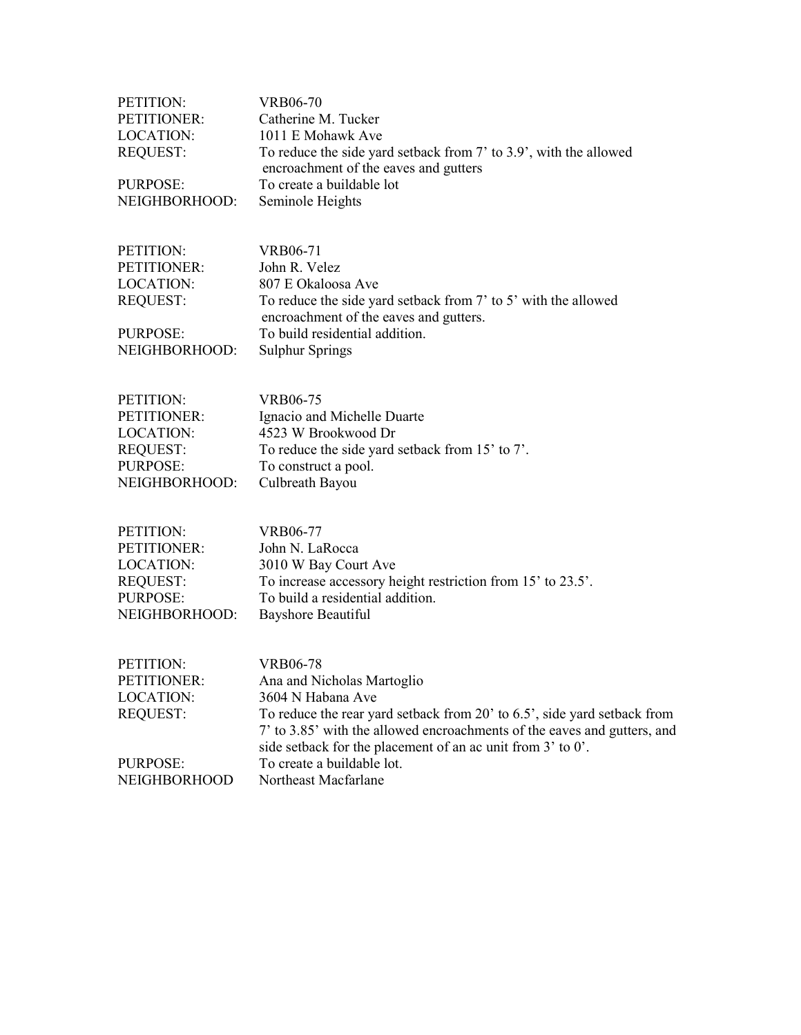| PETITION:       | <b>VRB06-70</b>                                                                                            |
|-----------------|------------------------------------------------------------------------------------------------------------|
| PETITIONER:     | Catherine M. Tucker                                                                                        |
| LOCATION:       | 1011 E Mohawk Ave                                                                                          |
| <b>REQUEST:</b> | To reduce the side yard setback from 7' to 3.9', with the allowed<br>encroachment of the eaves and gutters |
| PURPOSE:        | To create a buildable lot                                                                                  |
| NEIGHBORHOOD:   | Seminole Heights                                                                                           |
| PETITION:       | VRB06-71                                                                                                   |

| PETITIONER:     | John R. Velez                                                  |
|-----------------|----------------------------------------------------------------|
| LOCATION:       | 807 E Okaloosa Ave                                             |
| <b>REQUEST:</b> | To reduce the side yard setback from 7' to 5' with the allowed |
|                 | encroachment of the eaves and gutters.                         |
| PURPOSE:        | To build residential addition.                                 |
| NEIGHBORHOOD:   | <b>Sulphur Springs</b>                                         |
|                 |                                                                |

| PETITION:        | <b>VRB06-75</b>                                 |
|------------------|-------------------------------------------------|
| PETITIONER:      | Ignacio and Michelle Duarte                     |
| <b>LOCATION:</b> | 4523 W Brookwood Dr                             |
| <b>REQUEST:</b>  | To reduce the side yard setback from 15' to 7'. |
| PURPOSE:         | To construct a pool.                            |
| NEIGHBORHOOD:    | Culbreath Bayou                                 |
|                  |                                                 |

| PETITION:       | VRB06-77                                                    |
|-----------------|-------------------------------------------------------------|
| PETITIONER:     | John N. LaRocca                                             |
| LOCATION:       | 3010 W Bay Court Ave                                        |
| REQUEST:        | To increase accessory height restriction from 15' to 23.5'. |
| <b>PURPOSE:</b> | To build a residential addition.                            |
| NEIGHBORHOOD:   | <b>Bayshore Beautiful</b>                                   |

| <b>VRB06-78</b>                                                          |
|--------------------------------------------------------------------------|
| Ana and Nicholas Martoglio                                               |
| 3604 N Habana Ave                                                        |
| To reduce the rear yard setback from 20' to 6.5', side yard setback from |
| 7' to 3.85' with the allowed encroachments of the eaves and gutters, and |
| side setback for the placement of an ac unit from 3' to 0'.              |
| To create a buildable lot.                                               |
| Northeast Macfarlane                                                     |
|                                                                          |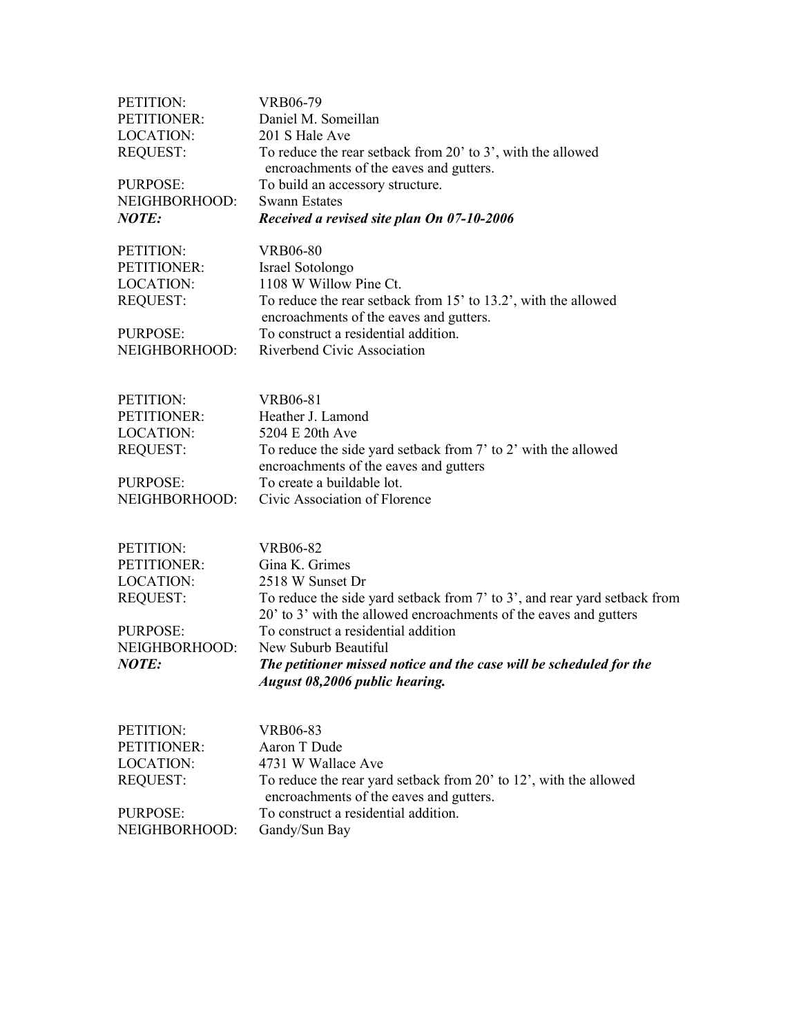| PETITION:<br>PETITIONER:<br><b>LOCATION:</b><br><b>REQUEST:</b><br>PURPOSE:<br>NEIGHBORHOOD:<br><b>NOTE:</b> | <b>VRB06-79</b><br>Daniel M. Someillan<br>201 S Hale Ave<br>To reduce the rear setback from 20' to 3', with the allowed<br>encroachments of the eaves and gutters.<br>To build an accessory structure.<br><b>Swann Estates</b><br>Received a revised site plan On 07-10-2006                                                                                                    |
|--------------------------------------------------------------------------------------------------------------|---------------------------------------------------------------------------------------------------------------------------------------------------------------------------------------------------------------------------------------------------------------------------------------------------------------------------------------------------------------------------------|
| PETITION:<br>PETITIONER:<br>LOCATION:<br><b>REQUEST:</b><br>PURPOSE:<br>NEIGHBORHOOD:                        | <b>VRB06-80</b><br>Israel Sotolongo<br>1108 W Willow Pine Ct.<br>To reduce the rear setback from 15' to 13.2', with the allowed<br>encroachments of the eaves and gutters.<br>To construct a residential addition.<br>Riverbend Civic Association                                                                                                                               |
| PETITION:<br>PETITIONER:<br>LOCATION:<br><b>REQUEST:</b><br>PURPOSE:<br>NEIGHBORHOOD:                        | <b>VRB06-81</b><br>Heather J. Lamond<br>5204 E 20th Ave<br>To reduce the side yard setback from 7' to 2' with the allowed<br>encroachments of the eaves and gutters<br>To create a buildable lot.<br>Civic Association of Florence                                                                                                                                              |
| PETITION:<br>PETITIONER:<br>LOCATION:<br><b>REQUEST:</b><br>PURPOSE:<br>NEIGHBORHOOD:<br><b>NOTE:</b>        | <b>VRB06-82</b><br>Gina K. Grimes<br>2518 W Sunset Dr<br>To reduce the side yard setback from 7' to 3', and rear yard setback from<br>20' to 3' with the allowed encroachments of the eaves and gutters<br>To construct a residential addition<br>New Suburb Beautiful<br>The petitioner missed notice and the case will be scheduled for the<br>August 08,2006 public hearing. |
| PETITION:<br>PETITIONER:<br><b>LOCATION:</b><br><b>REQUEST:</b><br>PURPOSE:<br>NEIGHBORHOOD:                 | <b>VRB06-83</b><br>Aaron T Dude<br>4731 W Wallace Ave<br>To reduce the rear yard setback from 20' to 12', with the allowed<br>encroachments of the eaves and gutters.<br>To construct a residential addition.<br>Gandy/Sun Bay                                                                                                                                                  |